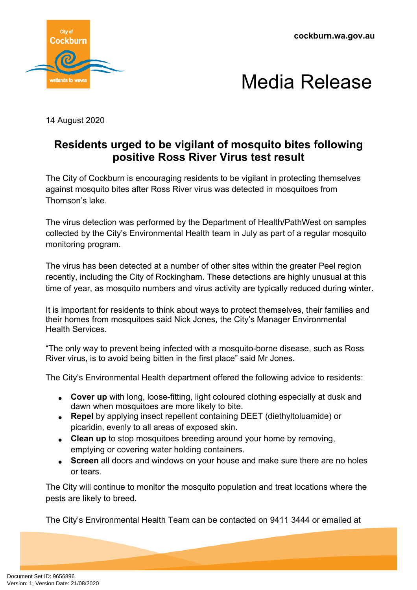**cockburn.wa.gov.au**





14 August 2020

## **Residents urged to be vigilant of mosquito bites following positive Ross River Virus test result**

The City of Cockburn is encouraging residents to be vigilant in protecting themselves against mosquito bites after Ross River virus was detected in mosquitoes from Thomson's lake.

The virus detection was performed by the Department of Health/PathWest on samples collected by the City's Environmental Health team in July as part of a regular mosquito monitoring program.

The virus has been detected at a number of other sites within the greater Peel region recently, including the City of Rockingham. These detections are highly unusual at this time of year, as mosquito numbers and virus activity are typically reduced during winter.

It is important for residents to think about ways to protect themselves, their families and their homes from mosquitoes said Nick Jones, the City's Manager Environmental Health Services.

"The only way to prevent being infected with a mosquito-borne disease, such as Ross River virus, is to avoid being bitten in the first place" said Mr Jones.

The City's Environmental Health department offered the following advice to residents:

- **Cover up** with long, loose-fitting, light coloured clothing especially at dusk and dawn when mosquitoes are more likely to bite.
- **Repel** by applying insect repellent containing DEET (diethyltoluamide) or picaridin, evenly to all areas of exposed skin.
- **Clean up** to stop mosquitoes breeding around your home by removing, emptying or covering water holding containers.
- **Screen** all doors and windows on your house and make sure there are no holes or tears.

The City will continue to monitor the mosquito population and treat locations where the pests are likely to breed.

The City's Environmental Health Team can be contacted on 9411 3444 or emailed at